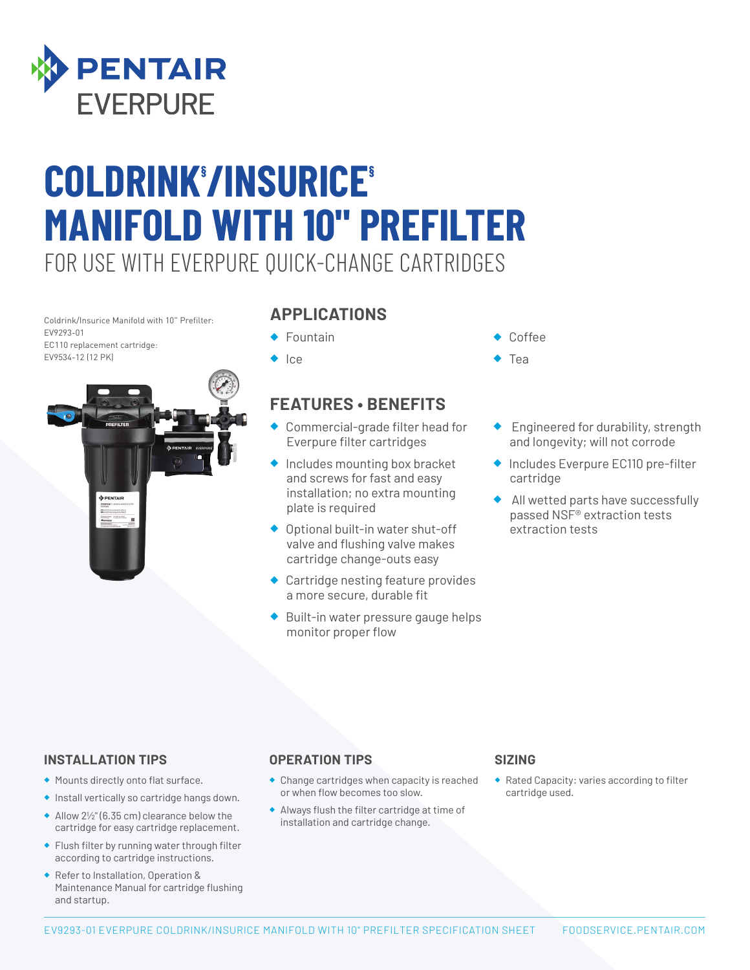

# FOR USE WITH EVERPURE QUICK-CHANGE CARTRIDGES **COLDRINK§ /INSURICE§ MANIFOLD WITH 10" PREFILTER**

Coldrink/Insurice Manifold with 10" Prefilter: EV9293-01 EC110 replacement cartridge: EV9534-12 (12 PK)



### **APPLICATIONS**

- ◆ Fountain
- ◆ Ice

## **FEATURES • BENEFITS**

- ◆ Commercial-grade filter head for Everpure filter cartridges
- ◆ Includes mounting box bracket and screws for fast and easy installation; no extra mounting plate is required
- ◆ Optional built-in water shut-off valve and flushing valve makes cartridge change-outs easy
- ◆ Cartridge nesting feature provides a more secure, durable fit
- Built-in water pressure gauge helps monitor proper flow
- Coffee
- **Tea**
- ◆ Engineered for durability, strength and longevity; will not corrode
- ◆ Includes Everpure EC110 pre-filter cartridge
- ◆ All wetted parts have successfully passed NSF® extraction tests extraction tests

#### **INSTALLATION TIPS**

- ◆ Mounts directly onto flat surface.
- ◆ Install vertically so cartridge hangs down.
- ◆ Allow 2½" (6.35 cm) clearance below the cartridge for easy cartridge replacement.
- ◆ Flush filter by running water through filter according to cartridge instructions.
- ◆ Refer to Installation, Operation & Maintenance Manual for cartridge flushing and startup.

#### **OPERATION TIPS**

- ◆ Change cartridges when capacity is reached or when flow becomes too slow.
- ◆ Always flush the filter cartridge at time of installation and cartridge change.

#### **SIZING**

◆ Rated Capacity: varies according to filter cartridge used.